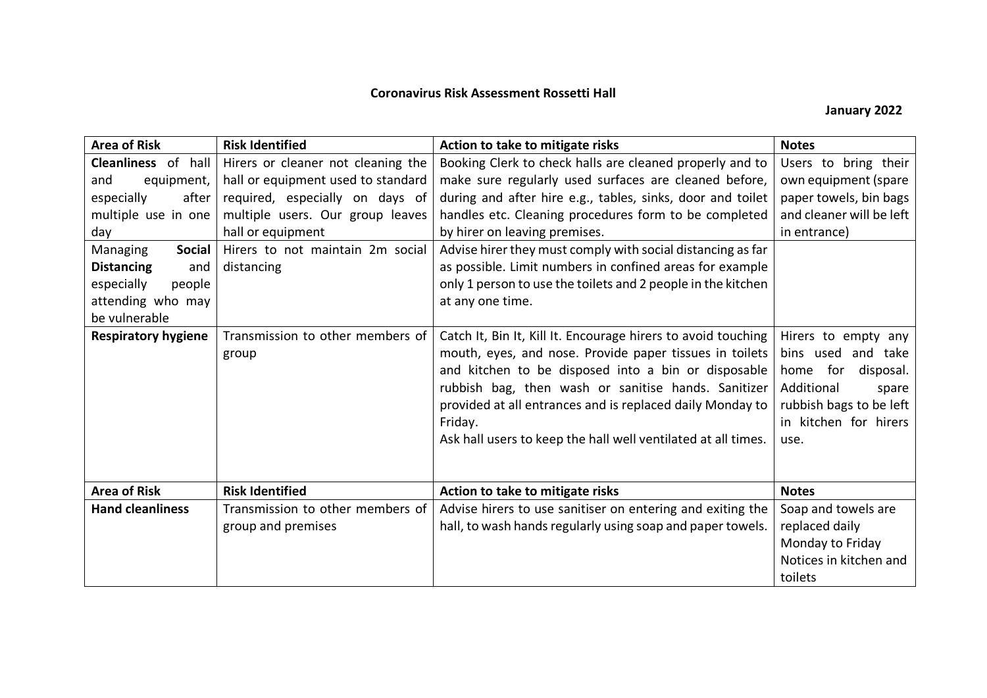## **Coronavirus Risk Assessment Rossetti Hall**

## **January 2022**

| <b>Area of Risk</b>                                                                                                 | <b>Risk Identified</b>                                                   | Action to take to mitigate risks                                                                                                                                                                                                                                                                                                                                                | <b>Notes</b>                                                                                                                                             |
|---------------------------------------------------------------------------------------------------------------------|--------------------------------------------------------------------------|---------------------------------------------------------------------------------------------------------------------------------------------------------------------------------------------------------------------------------------------------------------------------------------------------------------------------------------------------------------------------------|----------------------------------------------------------------------------------------------------------------------------------------------------------|
| Cleanliness of hall<br>equipment,<br>and                                                                            | Hirers or cleaner not cleaning the<br>hall or equipment used to standard | Booking Clerk to check halls are cleaned properly and to<br>make sure regularly used surfaces are cleaned before,                                                                                                                                                                                                                                                               | Users to bring their<br>own equipment (spare                                                                                                             |
| especially<br>after<br>multiple use in one                                                                          | required, especially on days of<br>multiple users. Our group leaves      | during and after hire e.g., tables, sinks, door and toilet<br>handles etc. Cleaning procedures form to be completed                                                                                                                                                                                                                                                             | paper towels, bin bags<br>and cleaner will be left                                                                                                       |
| day                                                                                                                 | hall or equipment                                                        | by hirer on leaving premises.                                                                                                                                                                                                                                                                                                                                                   | in entrance)                                                                                                                                             |
| <b>Social</b><br>Managing<br><b>Distancing</b><br>and<br>especially<br>people<br>attending who may<br>be vulnerable | Hirers to not maintain 2m social<br>distancing                           | Advise hirer they must comply with social distancing as far<br>as possible. Limit numbers in confined areas for example<br>only 1 person to use the toilets and 2 people in the kitchen<br>at any one time.                                                                                                                                                                     |                                                                                                                                                          |
| <b>Respiratory hygiene</b>                                                                                          | Transmission to other members of<br>group                                | Catch It, Bin It, Kill It. Encourage hirers to avoid touching<br>mouth, eyes, and nose. Provide paper tissues in toilets<br>and kitchen to be disposed into a bin or disposable<br>rubbish bag, then wash or sanitise hands. Sanitizer<br>provided at all entrances and is replaced daily Monday to<br>Friday.<br>Ask hall users to keep the hall well ventilated at all times. | Hirers to empty any<br>bins used and take<br>for<br>disposal.<br>home<br>Additional<br>spare<br>rubbish bags to be left<br>in kitchen for hirers<br>use. |
| <b>Area of Risk</b>                                                                                                 | <b>Risk Identified</b>                                                   | Action to take to mitigate risks                                                                                                                                                                                                                                                                                                                                                | <b>Notes</b>                                                                                                                                             |
| <b>Hand cleanliness</b>                                                                                             | Transmission to other members of<br>group and premises                   | Advise hirers to use sanitiser on entering and exiting the<br>hall, to wash hands regularly using soap and paper towels.                                                                                                                                                                                                                                                        | Soap and towels are<br>replaced daily<br>Monday to Friday<br>Notices in kitchen and<br>toilets                                                           |